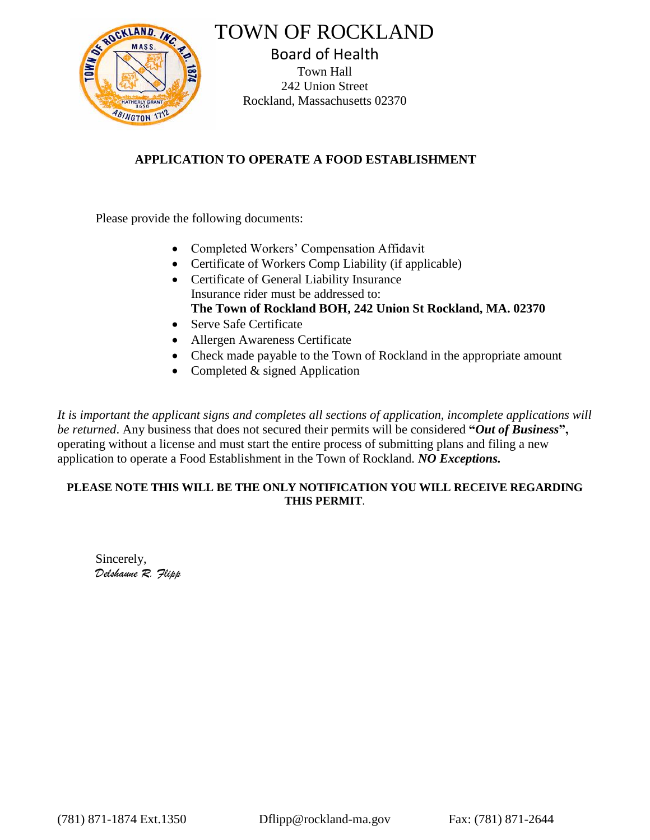

TOWN OF ROCKLAND

Board of Health Town Hall 242 Union Street Rockland, Massachusetts 02370

## **APPLICATION TO OPERATE A FOOD ESTABLISHMENT**

Please provide the following documents:

- Completed Workers' Compensation Affidavit
- Certificate of Workers Comp Liability (if applicable)
- Certificate of General Liability Insurance Insurance rider must be addressed to: **The Town of Rockland BOH, 242 Union St Rockland, MA. 02370**
- Serve Safe Certificate
- Allergen Awareness Certificate
- Check made payable to the Town of Rockland in the appropriate amount
- Completed & signed Application

*It is important the applicant signs and completes all sections of application, incomplete applications will be returned*. Any business that does not secured their permits will be considered **"***Out of Business***",** operating without a license and must start the entire process of submitting plans and filing a new application to operate a Food Establishment in the Town of Rockland. *NO Exceptions.*

## **PLEASE NOTE THIS WILL BE THE ONLY NOTIFICATION YOU WILL RECEIVE REGARDING THIS PERMIT**.

Sincerely, *Delshaune R. Flipp*